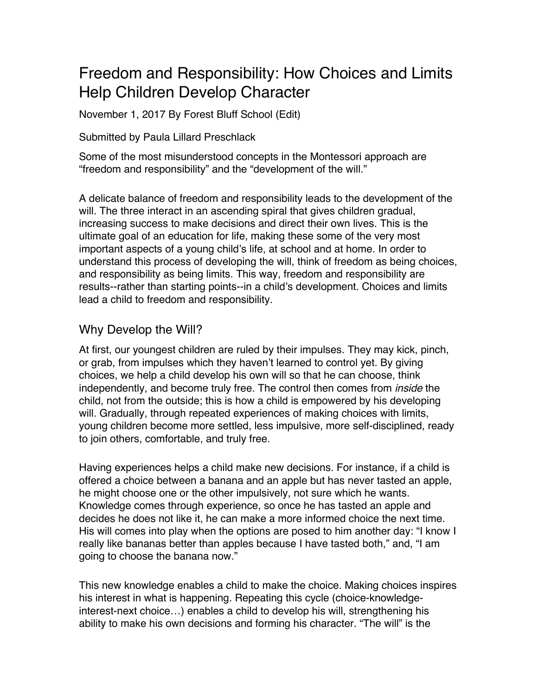# Freedom and Responsibility: How Choices and Limits Help Children Develop Character

November 1, 2017 By Forest Bluff School (Edit)

Submitted by Paula Lillard Preschlack

Some of the most misunderstood concepts in the Montessori approach are "freedom and responsibility" and the "development of the will."

A delicate balance of freedom and responsibility leads to the development of the will. The three interact in an ascending spiral that gives children gradual, increasing success to make decisions and direct their own lives. This is the ultimate goal of an education for life, making these some of the very most important aspects of a young child's life, at school and at home. In order to understand this process of developing the will, think of freedom as being choices, and responsibility as being limits. This way, freedom and responsibility are results--rather than starting points--in a child's development. Choices and limits lead a child to freedom and responsibility.

## Why Develop the Will?

At first, our youngest children are ruled by their impulses. They may kick, pinch, or grab, from impulses which they haven't learned to control yet. By giving choices, we help a child develop his own will so that he can choose, think independently, and become truly free. The control then comes from *inside* the child, not from the outside; this is how a child is empowered by his developing will. Gradually, through repeated experiences of making choices with limits, young children become more settled, less impulsive, more self-disciplined, ready to join others, comfortable, and truly free.

Having experiences helps a child make new decisions. For instance, if a child is offered a choice between a banana and an apple but has never tasted an apple, he might choose one or the other impulsively, not sure which he wants. Knowledge comes through experience, so once he has tasted an apple and decides he does not like it, he can make a more informed choice the next time. His will comes into play when the options are posed to him another day: "I know I really like bananas better than apples because I have tasted both," and, "I am going to choose the banana now."

This new knowledge enables a child to make the choice. Making choices inspires his interest in what is happening. Repeating this cycle (choice-knowledgeinterest-next choice…) enables a child to develop his will, strengthening his ability to make his own decisions and forming his character. "The will" is the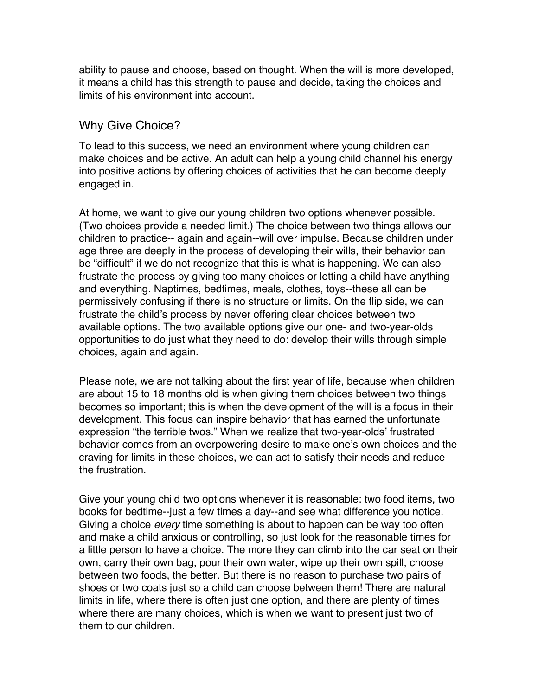ability to pause and choose, based on thought. When the will is more developed, it means a child has this strength to pause and decide, taking the choices and limits of his environment into account.

#### Why Give Choice?

To lead to this success, we need an environment where young children can make choices and be active. An adult can help a young child channel his energy into positive actions by offering choices of activities that he can become deeply engaged in.

At home, we want to give our young children two options whenever possible. (Two choices provide a needed limit.) The choice between two things allows our children to practice-- again and again--will over impulse. Because children under age three are deeply in the process of developing their wills, their behavior can be "difficult" if we do not recognize that this is what is happening. We can also frustrate the process by giving too many choices or letting a child have anything and everything. Naptimes, bedtimes, meals, clothes, toys--these all can be permissively confusing if there is no structure or limits. On the flip side, we can frustrate the child's process by never offering clear choices between two available options. The two available options give our one- and two-year-olds opportunities to do just what they need to do: develop their wills through simple choices, again and again.

Please note, we are not talking about the first year of life, because when children are about 15 to 18 months old is when giving them choices between two things becomes so important; this is when the development of the will is a focus in their development. This focus can inspire behavior that has earned the unfortunate expression "the terrible twos." When we realize that two-year-olds' frustrated behavior comes from an overpowering desire to make one's own choices and the craving for limits in these choices, we can act to satisfy their needs and reduce the frustration.

Give your young child two options whenever it is reasonable: two food items, two books for bedtime--just a few times a day--and see what difference you notice. Giving a choice *every* time something is about to happen can be way too often and make a child anxious or controlling, so just look for the reasonable times for a little person to have a choice. The more they can climb into the car seat on their own, carry their own bag, pour their own water, wipe up their own spill, choose between two foods, the better. But there is no reason to purchase two pairs of shoes or two coats just so a child can choose between them! There are natural limits in life, where there is often just one option, and there are plenty of times where there are many choices, which is when we want to present just two of them to our children.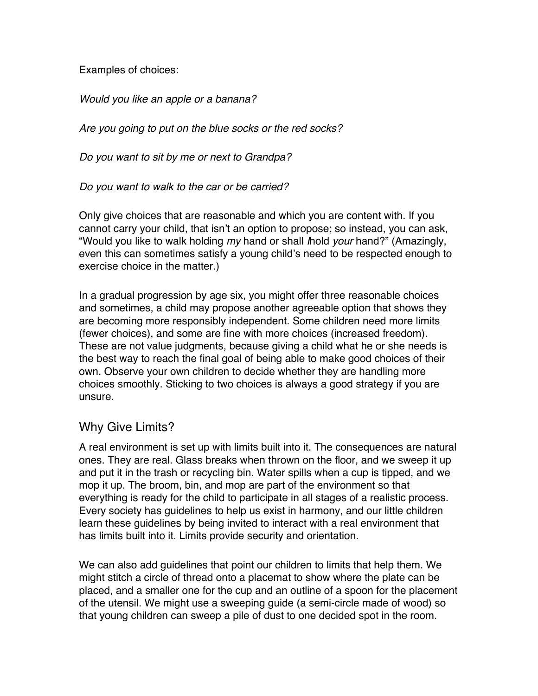Examples of choices:

*Would you like an apple or a banana?*

*Are you going to put on the blue socks or the red socks?*

*Do you want to sit by me or next to Grandpa?*

*Do you want to walk to the car or be carried?*

Only give choices that are reasonable and which you are content with. If you cannot carry your child, that isn't an option to propose; so instead, you can ask, "Would you like to walk holding *my* hand or shall *I*hold *your* hand?" (Amazingly, even this can sometimes satisfy a young child's need to be respected enough to exercise choice in the matter.)

In a gradual progression by age six, you might offer three reasonable choices and sometimes, a child may propose another agreeable option that shows they are becoming more responsibly independent. Some children need more limits (fewer choices), and some are fine with more choices (increased freedom). These are not value judgments, because giving a child what he or she needs is the best way to reach the final goal of being able to make good choices of their own. Observe your own children to decide whether they are handling more choices smoothly. Sticking to two choices is always a good strategy if you are unsure.

## Why Give Limits?

A real environment is set up with limits built into it. The consequences are natural ones. They are real. Glass breaks when thrown on the floor, and we sweep it up and put it in the trash or recycling bin. Water spills when a cup is tipped, and we mop it up. The broom, bin, and mop are part of the environment so that everything is ready for the child to participate in all stages of a realistic process. Every society has guidelines to help us exist in harmony, and our little children learn these guidelines by being invited to interact with a real environment that has limits built into it. Limits provide security and orientation.

We can also add guidelines that point our children to limits that help them. We might stitch a circle of thread onto a placemat to show where the plate can be placed, and a smaller one for the cup and an outline of a spoon for the placement of the utensil. We might use a sweeping guide (a semi-circle made of wood) so that young children can sweep a pile of dust to one decided spot in the room.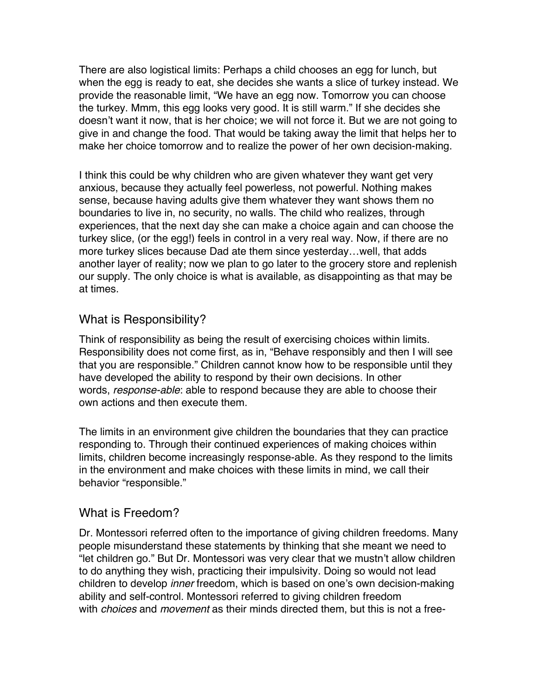There are also logistical limits: Perhaps a child chooses an egg for lunch, but when the egg is ready to eat, she decides she wants a slice of turkey instead. We provide the reasonable limit, "We have an egg now. Tomorrow you can choose the turkey. Mmm, this egg looks very good. It is still warm." If she decides she doesn't want it now, that is her choice; we will not force it. But we are not going to give in and change the food. That would be taking away the limit that helps her to make her choice tomorrow and to realize the power of her own decision-making.

I think this could be why children who are given whatever they want get very anxious, because they actually feel powerless, not powerful. Nothing makes sense, because having adults give them whatever they want shows them no boundaries to live in, no security, no walls. The child who realizes, through experiences, that the next day she can make a choice again and can choose the turkey slice, (or the egg!) feels in control in a very real way. Now, if there are no more turkey slices because Dad ate them since yesterday…well, that adds another layer of reality; now we plan to go later to the grocery store and replenish our supply. The only choice is what is available, as disappointing as that may be at times.

#### What is Responsibility?

Think of responsibility as being the result of exercising choices within limits. Responsibility does not come first, as in, "Behave responsibly and then I will see that you are responsible." Children cannot know how to be responsible until they have developed the ability to respond by their own decisions. In other words, *response-able*: able to respond because they are able to choose their own actions and then execute them.

The limits in an environment give children the boundaries that they can practice responding to. Through their continued experiences of making choices within limits, children become increasingly response-able. As they respond to the limits in the environment and make choices with these limits in mind, we call their behavior "responsible."

## What is Freedom?

Dr. Montessori referred often to the importance of giving children freedoms. Many people misunderstand these statements by thinking that she meant we need to "let children go." But Dr. Montessori was very clear that we mustn't allow children to do anything they wish, practicing their impulsivity. Doing so would not lead children to develop *inner* freedom, which is based on one's own decision-making ability and self-control. Montessori referred to giving children freedom with *choices* and *movement* as their minds directed them, but this is not a free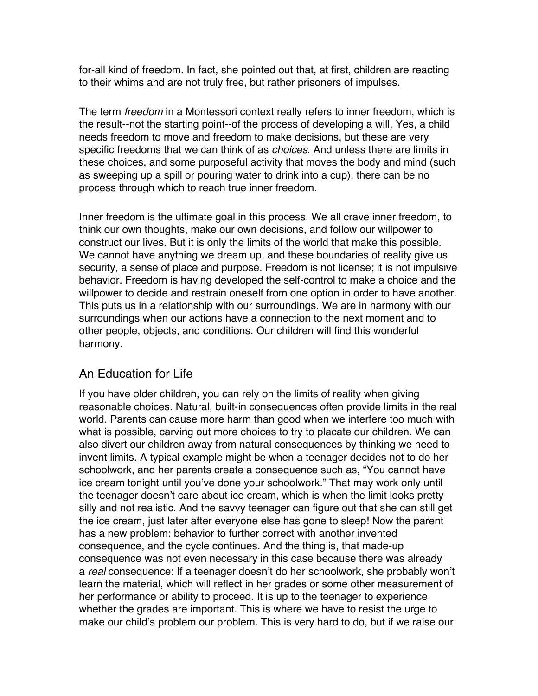for-all kind of freedom. In fact, she pointed out that, at first, children are reacting to their whims and are not truly free, but rather prisoners of impulses.

The term *freedom* in a Montessori context really refers to inner freedom, which is the result--not the starting point--of the process of developing a will. Yes, a child needs freedom to move and freedom to make decisions, but these are very specific freedoms that we can think of as *choices*. And unless there are limits in these choices, and some purposeful activity that moves the body and mind (such as sweeping up a spill or pouring water to drink into a cup), there can be no process through which to reach true inner freedom.

Inner freedom is the ultimate goal in this process. We all crave inner freedom, to think our own thoughts, make our own decisions, and follow our willpower to construct our lives. But it is only the limits of the world that make this possible. We cannot have anything we dream up, and these boundaries of reality give us security, a sense of place and purpose. Freedom is not license; it is not impulsive behavior. Freedom is having developed the self-control to make a choice and the willpower to decide and restrain oneself from one option in order to have another. This puts us in a relationship with our surroundings. We are in harmony with our surroundings when our actions have a connection to the next moment and to other people, objects, and conditions. Our children will find this wonderful harmony.

# An Education for Life

If you have older children, you can rely on the limits of reality when giving reasonable choices. Natural, built-in consequences often provide limits in the real world. Parents can cause more harm than good when we interfere too much with what is possible, carving out more choices to try to placate our children. We can also divert our children away from natural consequences by thinking we need to invent limits. A typical example might be when a teenager decides not to do her schoolwork, and her parents create a consequence such as, "You cannot have ice cream tonight until you've done your schoolwork." That may work only until the teenager doesn't care about ice cream, which is when the limit looks pretty silly and not realistic. And the savvy teenager can figure out that she can still get the ice cream, just later after everyone else has gone to sleep! Now the parent has a new problem: behavior to further correct with another invented consequence, and the cycle continues. And the thing is, that made-up consequence was not even necessary in this case because there was already a *real* consequence: If a teenager doesn't do her schoolwork, she probably won't learn the material, which will reflect in her grades or some other measurement of her performance or ability to proceed. It is up to the teenager to experience whether the grades are important. This is where we have to resist the urge to make our child's problem our problem. This is very hard to do, but if we raise our